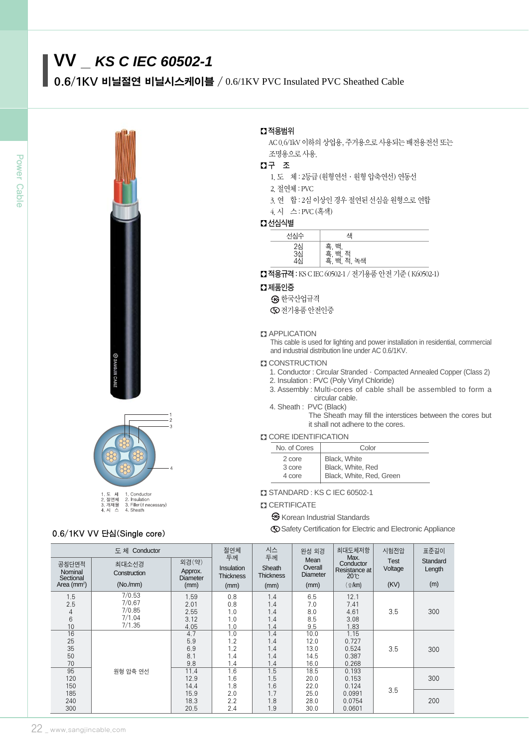# **VV \_** *KS C IEC 60502-1*

.6/1KV 비닐절연 비닐시스케이블 / 0.6/1KV PVC Insulated PVC Sheathed Cable







# .6/1KV VV 단심(Single core)

### � 적용범위

AC 0.6/1kV 이하의 상업용, 주거용으로 사용되는 배전용전선 또는 조명용으로 사용.

# � 구 조

.도 체 : 2등급 (원형연선∙원형 압축연선) 연동선

.절연체 : PVC

.연 합 : 2심 이상인 경우 절연된 선심을 원형으로 연합

.시 스 : PVC (흑색)

# � 선심식별

| --       |                                      |  |
|----------|--------------------------------------|--|
| 서식수      | 샌                                    |  |
| 2심<br>3심 | 흑, 백<br>흑, 백<br>흑, 백<br>저<br>노새<br>, |  |

■ 적용규격 : KS C IEC 60502-1 / 전기용품 안전 기준 (K60502-1)

#### � 제품인증

 $\boldsymbol{\Im}$  한국산업규격

 $\bigcirc$  전기용품 안전인증

#### **B** APPLICATION

This cable is used for lighting and power installation in residential, commercial and industrial distribution line under AC 0.6/1KV.

#### **D** CONSTRUCTION

- 1. Conductor : Circular Stranded∙Compacted Annealed Copper (Class 2)
- 2. Insulation : PVC (Poly Vinyl Chloride)
- 3. Assembly : Multi-cores of cable shall be assembled to form a circular cable.
- 4. Sheath : PVC (Black)

The Sheath may fill the interstices between the cores but it shall not adhere to the cores.

#### **D** CORE IDENTIFICATION

| No. of Cores               | Color                                                         |
|----------------------------|---------------------------------------------------------------|
| 2 core<br>3 core<br>4 core | Black, White<br>Black, White, Red<br>Black, White, Red, Green |
|                            |                                                               |

#### STANDARD : KS C IEC 60502-1

#### **CERTIFICATE**

**G** Korean Industrial Standards

Safety Certification for Electric and Electronic Appliance

| 도체 Conductor                  |                       | 절연체<br>두께                           | 시스<br>두께                       | 완성 외경                      | 최대도체저항<br>Max.                     | 시험전압                                       | 표준길이                   |                    |
|-------------------------------|-----------------------|-------------------------------------|--------------------------------|----------------------------|------------------------------------|--------------------------------------------|------------------------|--------------------|
| 공칭단면적<br>Nominal<br>Sectional | 최대소선경<br>Construction | 외경(약)<br>Approx.<br><b>Diameter</b> | Insulation<br><b>Thickness</b> | Sheath<br><b>Thickness</b> | Mean<br>Overall<br><b>Diameter</b> | Conductor<br>Resistance at<br>$20^{\circ}$ | <b>Test</b><br>Voltage | Standard<br>Length |
| Area ( $mm2$ )                | (No/mm)               | (mm)                                | (mm)                           | (mm)                       | (mm)                               | $($ Q/km)                                  | (KV)                   | (m)                |
| 1.5                           | 7/0.53                | 1.59                                | 0.8                            | 1.4                        | 6.5                                | 12.1                                       |                        |                    |
| 2.5                           | 7/0.67                | 2.01                                | 0.8                            | 1.4                        | 7.0                                | 7.41                                       |                        |                    |
| 4                             | 7/0.85                | 2.55                                | 1.0                            | 1.4                        | 8.0                                | 4.61                                       | 3.5                    | 300                |
| 6                             | 7/1.04                | 3.12                                | 1.0                            | 1.4                        | 8.5                                | 3.08                                       |                        |                    |
| 10                            | 7/1.35                | 4.05                                | 1.0                            | 1.4                        | 9.5                                | 1.83                                       |                        |                    |
| 16                            |                       | 4.7                                 | 1.0                            | 1.4                        | 10.0                               | 1.15                                       |                        |                    |
| 25                            |                       | 5.9                                 | 1.2                            | 1.4                        | 12.0                               | 0.727                                      |                        |                    |
| 35                            |                       | 6.9                                 | 1.2                            | 1.4                        | 13.0                               | 0.524                                      | 3.5                    | 300                |
| 50                            |                       | 8.1                                 | 1.4                            | 1.4                        | 14.5                               | 0.387                                      |                        |                    |
| 70                            |                       | 9.8                                 | 1.4                            | 1.4                        | 16.0                               | 0.268                                      |                        |                    |
| 95                            | 원형 압축 연선              | 11.4                                | 1.6                            | 1.5                        | 18.5                               | 0.193                                      |                        |                    |
| 120                           |                       | 12.9                                | 1.6                            | 1.5                        | 20.0                               | 0.153                                      |                        | 300                |
| 150                           |                       | 14.4                                | 1.8                            | 1.6                        | 22.0                               | 0.124                                      | 3.5                    |                    |
| 185                           |                       | 15.9                                | 2.0                            | 1.7                        | 25.0                               | 0.0991                                     |                        |                    |
| 240                           |                       | 18.3                                | 2.2                            | 1.8                        | 28.0                               | 0.0754                                     |                        | 200                |
| 300                           |                       | 20.5                                | 2.4                            | 1.9                        | 30.0                               | 0.0601                                     |                        |                    |